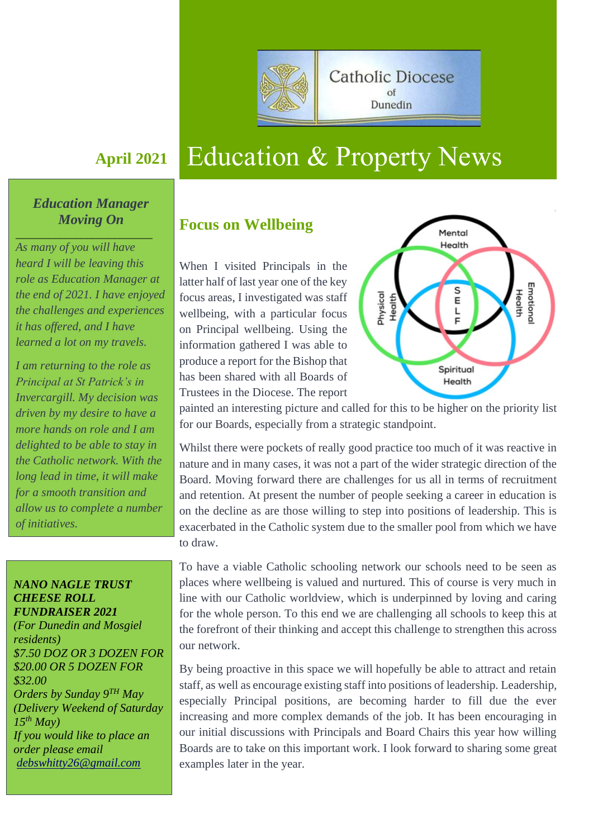

# **April <sup>2021</sup>** Education & Property News

# *Education Manager Moving On*

*\_\_\_\_\_\_\_\_\_\_\_\_\_\_\_\_\_\_\_\_\_\_\_\_\_*

*As many of you will have heard I will be leaving this role as Education Manager at the end of 2021. I have enjoyed the challenges and experiences it has offered, and I have learned a lot on my travels.* 

*I am returning to the role as Principal at St Patrick's in Invercargill. My decision was driven by my desire to have a more hands on role and I am delighted to be able to stay in the Catholic network. With the long lead in time, it will make for a smooth transition and allow us to complete a number of initiatives.*

#### *NANO NAGLE TRUST CHEESE ROLL FUNDRAISER 2021*

*(For Dunedin and Mosgiel residents) \$7.50 DOZ OR 3 DOZEN FOR \$20.00 OR 5 DOZEN FOR \$32.00 Orders by Sunday 9TH May (Delivery Weekend of Saturday 15th May) If you would like to place an order please email [debswhitty26@gmail.com](mailto:debswhitty26@gmail.com)*

# **Focus on Wellbeing**

When I visited Principals in the latter half of last year one of the key focus areas, I investigated was staff wellbeing, with a particular focus on Principal wellbeing. Using the information gathered I was able to produce a report for the Bishop that has been shared with all Boards of Trustees in the Diocese. The report



painted an interesting picture and called for this to be higher on the priority list for our Boards, especially from a strategic standpoint.

Whilst there were pockets of really good practice too much of it was reactive in nature and in many cases, it was not a part of the wider strategic direction of the Board. Moving forward there are challenges for us all in terms of recruitment and retention. At present the number of people seeking a career in education is on the decline as are those willing to step into positions of leadership. This is exacerbated in the Catholic system due to the smaller pool from which we have to draw.

To have a viable Catholic schooling network our schools need to be seen as places where wellbeing is valued and nurtured. This of course is very much in line with our Catholic worldview, which is underpinned by loving and caring for the whole person. To this end we are challenging all schools to keep this at the forefront of their thinking and accept this challenge to strengthen this across our network.

By being proactive in this space we will hopefully be able to attract and retain staff, as well as encourage existing staff into positions of leadership. Leadership, especially Principal positions, are becoming harder to fill due the ever increasing and more complex demands of the job. It has been encouraging in our initial discussions with Principals and Board Chairs this year how willing Boards are to take on this important work. I look forward to sharing some great examples later in the year.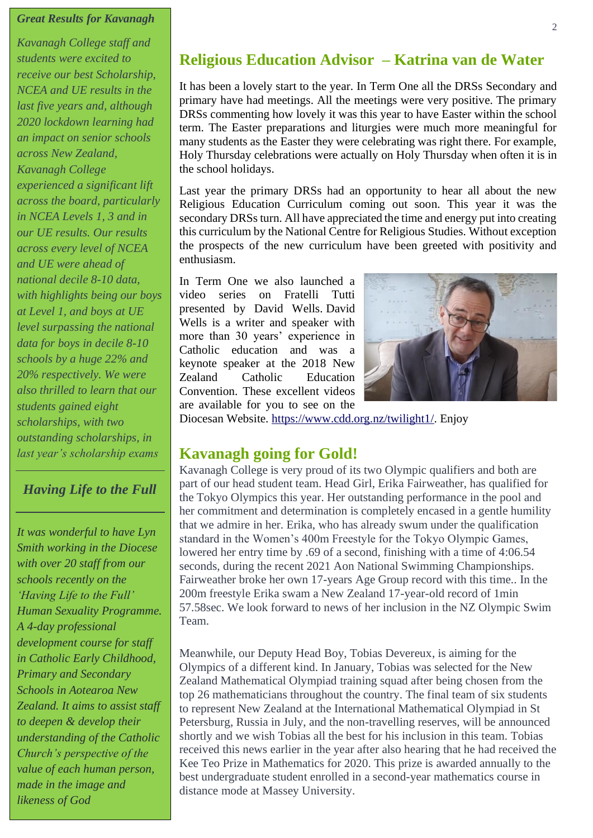#### *Great Results for Kavanagh*

*Kavanagh College staff and students were excited to receive our best Scholarship, NCEA and UE results in the last five years and, although 2020 lockdown learning had an impact on senior schools across New Zealand, Kavanagh College experienced a significant lift across the board, particularly in NCEA Levels 1, 3 and in our UE results. Our results across every level of NCEA and UE were ahead of national decile 8-10 data, with highlights being our boys at Level 1, and boys at UE level surpassing the national data for boys in decile 8-10 schools by a huge 22% and 20% respectively. We were also thrilled to learn that our students gained eight scholarships, with two outstanding scholarships, in last year's scholarship exams*

### *Having Life to the Full*

*It was wonderful to have Lyn Smith working in the Diocese with over 20 staff from our schools recently on the 'Having Life to the Full' Human Sexuality Programme. A 4-day professional development course for staff in Catholic Early Childhood, Primary and Secondary Schools in Aotearoa New Zealand. It aims to assist staff to deepen & develop their understanding of the Catholic Church's perspective of the value of each human person, made in the image and likeness of God*

# **Religious Education Advisor – Katrina van de Water**

It has been a lovely start to the year. In Term One all the DRSs Secondary and primary have had meetings. All the meetings were very positive. The primary DRSs commenting how lovely it was this year to have Easter within the school term. The Easter preparations and liturgies were much more meaningful for many students as the Easter they were celebrating was right there. For example, Holy Thursday celebrations were actually on Holy Thursday when often it is in the school holidays.

Last year the primary DRSs had an opportunity to hear all about the new Religious Education Curriculum coming out soon. This year it was the secondary DRSs turn. All have appreciated the time and energy put into creating this curriculum by the National Centre for Religious Studies. Without exception the prospects of the new curriculum have been greeted with positivity and enthusiasm.

In Term One we also launched a video series on Fratelli Tutti presented by David Wells. David Wells is a writer and speaker with more than 30 years' experience in Catholic education and was a keynote speaker at the 2018 New Zealand Catholic Education Convention. These excellent videos are available for you to see on the



Diocesan Website. [https://www.cdd.org.nz/twilight1/.](https://www.cdd.org.nz/twilight1/) Enjoy

# **Kavanagh going for Gold!**

Kavanagh College is very proud of its two Olympic qualifiers and both are part of our head student team. Head Girl, Erika Fairweather, has qualified for the Tokyo Olympics this year. Her outstanding performance in the pool and her commitment and determination is completely encased in a gentle humility that we admire in her. Erika, who has already swum under the qualification standard in the Women's 400m Freestyle for the Tokyo Olympic Games, lowered her entry time by .69 of a second, finishing with a time of 4:06.54 seconds, during the recent 2021 Aon National Swimming Championships. Fairweather broke her own 17-years Age Group record with this time.. In the 200m freestyle Erika swam a New Zealand 17-year-old record of 1min 57.58sec. We look forward to news of her inclusion in the NZ Olympic Swim Team.

Meanwhile, our Deputy Head Boy, Tobias Devereux, is aiming for the Olympics of a different kind. In January, Tobias was selected for the New Zealand Mathematical Olympiad training squad after being chosen from the top 26 mathematicians throughout the country. The final team of six students to represent New Zealand at the International Mathematical Olympiad in St Petersburg, Russia in July, and the non-travelling reserves, will be announced shortly and we wish Tobias all the best for his inclusion in this team. Tobias received this news earlier in the year after also hearing that he had received the Kee Teo Prize in Mathematics for 2020. This prize is awarded annually to the best undergraduate student enrolled in a second-year mathematics course in distance mode at Massey University.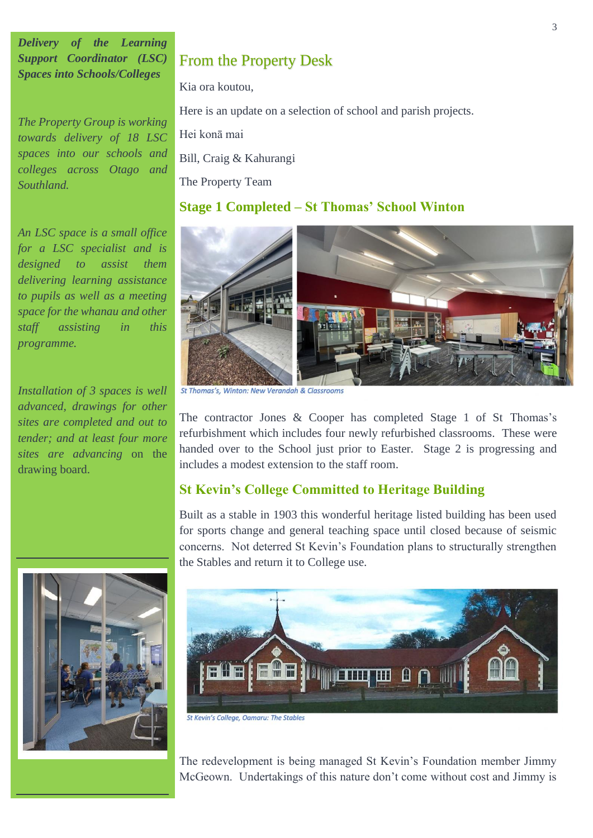*Delivery of the Learning Support Coordinator (LSC) Spaces into Schools/Colleges*

*The Property Group is working towards delivery of 18 LSC spaces into our schools and colleges across Otago and Southland.* 

*An LSC space is a small office for a LSC specialist and is designed to assist them delivering learning assistance to pupils as well as a meeting space for the whanau and other staff assisting in this programme.*

*Installation of 3 spaces is well advanced, drawings for other sites are completed and out to tender; and at least four more sites are advancing* on the drawing board.

# From the Property Desk

Kia ora koutou,

Here is an update on a selection of school and parish projects.

Hei konā mai

Bill, Craig & Kahurangi

The Property Team

### **Stage 1 Completed – St Thomas' School Winton**



St Thomas's, Winton: New Verandah & Classrooms

The contractor Jones & Cooper has completed Stage 1 of St Thomas's refurbishment which includes four newly refurbished classrooms. These were handed over to the School just prior to Easter. Stage 2 is progressing and includes a modest extension to the staff room.

#### **St Kevin's College Committed to Heritage Building**

Built as a stable in 1903 this wonderful heritage listed building has been used for sports change and general teaching space until closed because of seismic concerns. Not deterred St Kevin's Foundation plans to structurally strengthen the Stables and return it to College use.





St Kevin's College, Oamaru: The Stables

The redevelopment is being managed St Kevin's Foundation member Jimmy McGeown. Undertakings of this nature don't come without cost and Jimmy is